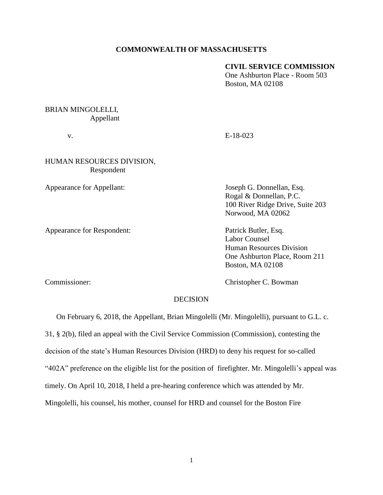### **COMMONWEALTH OF MASSACHUSETTS**

### **CIVIL SERVICE COMMISSION**

One Ashburton Place - Room 503 Boston, MA 02108

# BRIAN MINGOLELLI, Appellant

v. E-18-023

## HUMAN RESOURCES DIVISION, Respondent

Appearance for Respondent: Patrick Butler, Esq.

Appearance for Appellant: Joseph G. Donnellan, Esq. Rogal & Donnellan, P.C. 100 River Ridge Drive, Suite 203 Norwood, MA 02062

> Labor Counsel Human Resources Division One Ashburton Place, Room 211 Boston, MA 02108

Commissioner: Commissioner: Christopher C. Bowman

#### DECISION

On February 6, 2018, the Appellant, Brian Mingolelli (Mr. Mingolelli), pursuant to G.L. c.

31, § 2(b), filed an appeal with the Civil Service Commission (Commission), contesting the

decision of the state's Human Resources Division (HRD) to deny his request for so-called

"402A" preference on the eligible list for the position of firefighter. Mr. Mingolelli's appeal was

timely. On April 10, 2018, I held a pre-hearing conference which was attended by Mr.

Mingolelli, his counsel, his mother, counsel for HRD and counsel for the Boston Fire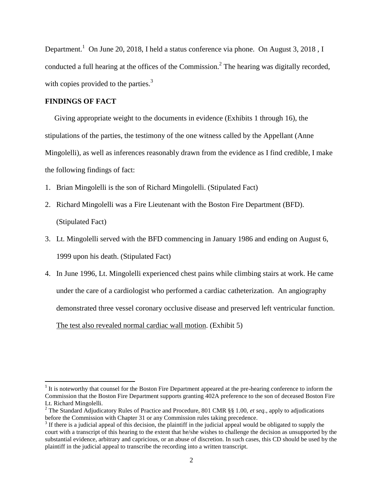Department.<sup>1</sup> On June 20, 2018, I held a status conference via phone. On August 3, 2018, I conducted a full hearing at the offices of the Commission.<sup>2</sup> The hearing was digitally recorded, with copies provided to the parties. $3$ 

#### **FINDINGS OF FACT**

 $\overline{\phantom{a}}$ 

 Giving appropriate weight to the documents in evidence (Exhibits 1 through 16), the stipulations of the parties, the testimony of the one witness called by the Appellant (Anne Mingolelli), as well as inferences reasonably drawn from the evidence as I find credible, I make the following findings of fact:

- 1. Brian Mingolelli is the son of Richard Mingolelli. (Stipulated Fact)
- 2. Richard Mingolelli was a Fire Lieutenant with the Boston Fire Department (BFD). (Stipulated Fact)
- 3. Lt. Mingolelli served with the BFD commencing in January 1986 and ending on August 6, 1999 upon his death. (Stipulated Fact)
- 4. In June 1996, Lt. Mingolelli experienced chest pains while climbing stairs at work. He came under the care of a cardiologist who performed a cardiac catheterization. An angiography demonstrated three vessel coronary occlusive disease and preserved left ventricular function. The test also revealed normal cardiac wall motion. (Exhibit 5)

 $1$ <sup>1</sup> It is noteworthy that counsel for the Boston Fire Department appeared at the pre-hearing conference to inform the Commission that the Boston Fire Department supports granting 402A preference to the son of deceased Boston Fire Lt. Richard Mingolelli.

<sup>2</sup> The Standard Adjudicatory Rules of Practice and Procedure, 801 CMR §§ 1.00, *et seq.*, apply to adjudications before the Commission with Chapter 31 or any Commission rules taking precedence.

 $3$  If there is a judicial appeal of this decision, the plaintiff in the judicial appeal would be obligated to supply the court with a transcript of this hearing to the extent that he/she wishes to challenge the decision as unsupported by the substantial evidence, arbitrary and capricious, or an abuse of discretion. In such cases, this CD should be used by the plaintiff in the judicial appeal to transcribe the recording into a written transcript.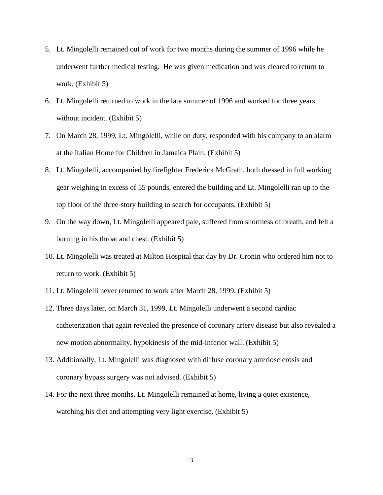- 5. Lt. Mingolelli remained out of work for two months during the summer of 1996 while he underwent further medical testing. He was given medication and was cleared to return to work. (Exhibit 5)
- 6. Lt. Mingolelli returned to work in the late summer of 1996 and worked for three years without incident. (Exhibit 5)
- 7. On March 28, 1999, Lt. Mingolelli, while on duty, responded with his company to an alarm at the Italian Home for Children in Jamaica Plain. (Exhibit 5)
- 8. Lt. Mingolelli, accompanied by firefighter Frederick McGrath, both dressed in full working gear weighing in excess of 55 pounds, entered the building and Lt. Mingolelli ran up to the top floor of the three-story building to search for occupants. (Exhibit 5)
- 9. On the way down, Lt. Mingolelli appeared pale, suffered from shortness of breath, and felt a burning in his throat and chest. (Exhibit 5)
- 10. Lt. Mingolelli was treated at Milton Hospital that day by Dr. Cronin who ordered him not to return to work. (Exhibit 5)
- 11. Lt. Mingolelli never returned to work after March 28, 1999. (Exhibit 5)
- 12. Three days later, on March 31, 1999, Lt. Mingolelli underwent a second cardiac catheterization that again revealed the presence of coronary artery disease but also revealed a new motion abnormality, hypokinesis of the mid-inferior wall. (Exhibit 5)
- 13. Additionally, Lt. Mingolelli was diagnosed with diffuse coronary arteriosclerosis and coronary bypass surgery was not advised. (Exhibit 5)
- 14. For the next three months, Lt. Mingolelli remained at home, living a quiet existence, watching his diet and attempting very light exercise. (Exhibit 5)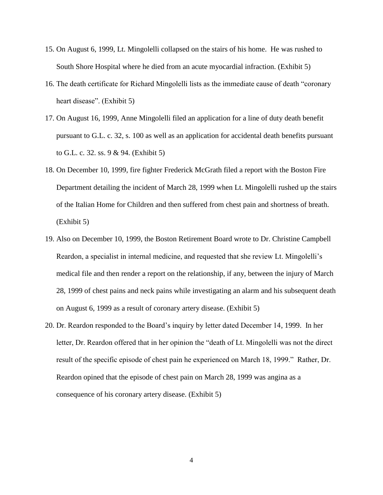- 15. On August 6, 1999, Lt. Mingolelli collapsed on the stairs of his home. He was rushed to South Shore Hospital where he died from an acute myocardial infraction. (Exhibit 5)
- 16. The death certificate for Richard Mingolelli lists as the immediate cause of death "coronary heart disease". (Exhibit 5)
- 17. On August 16, 1999, Anne Mingolelli filed an application for a line of duty death benefit pursuant to G.L. c. 32, s. 100 as well as an application for accidental death benefits pursuant to G.L. c. 32. ss. 9 & 94. (Exhibit 5)
- 18. On December 10, 1999, fire fighter Frederick McGrath filed a report with the Boston Fire Department detailing the incident of March 28, 1999 when Lt. Mingolelli rushed up the stairs of the Italian Home for Children and then suffered from chest pain and shortness of breath. (Exhibit 5)
- 19. Also on December 10, 1999, the Boston Retirement Board wrote to Dr. Christine Campbell Reardon, a specialist in internal medicine, and requested that she review Lt. Mingolelli's medical file and then render a report on the relationship, if any, between the injury of March 28, 1999 of chest pains and neck pains while investigating an alarm and his subsequent death on August 6, 1999 as a result of coronary artery disease. (Exhibit 5)
- 20. Dr. Reardon responded to the Board's inquiry by letter dated December 14, 1999. In her letter, Dr. Reardon offered that in her opinion the "death of Lt. Mingolelli was not the direct result of the specific episode of chest pain he experienced on March 18, 1999." Rather, Dr. Reardon opined that the episode of chest pain on March 28, 1999 was angina as a consequence of his coronary artery disease. (Exhibit 5)

4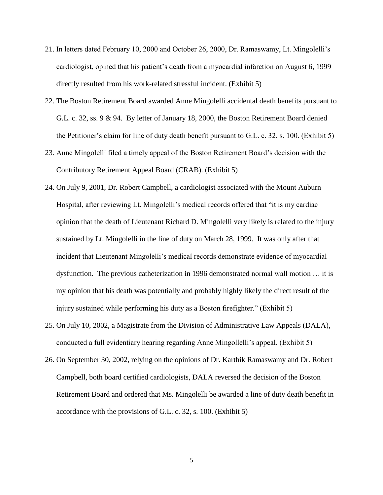- 21. In letters dated February 10, 2000 and October 26, 2000, Dr. Ramaswamy, Lt. Mingolelli's cardiologist, opined that his patient's death from a myocardial infarction on August 6, 1999 directly resulted from his work-related stressful incident. (Exhibit 5)
- 22. The Boston Retirement Board awarded Anne Mingolelli accidental death benefits pursuant to G.L. c. 32, ss. 9 & 94. By letter of January 18, 2000, the Boston Retirement Board denied the Petitioner's claim for line of duty death benefit pursuant to G.L. c. 32, s. 100. (Exhibit 5)
- 23. Anne Mingolelli filed a timely appeal of the Boston Retirement Board's decision with the Contributory Retirement Appeal Board (CRAB). (Exhibit 5)
- 24. On July 9, 2001, Dr. Robert Campbell, a cardiologist associated with the Mount Auburn Hospital, after reviewing Lt. Mingolelli's medical records offered that "it is my cardiac opinion that the death of Lieutenant Richard D. Mingolelli very likely is related to the injury sustained by Lt. Mingolelli in the line of duty on March 28, 1999. It was only after that incident that Lieutenant Mingolelli's medical records demonstrate evidence of myocardial dysfunction. The previous catheterization in 1996 demonstrated normal wall motion … it is my opinion that his death was potentially and probably highly likely the direct result of the injury sustained while performing his duty as a Boston firefighter." (Exhibit 5)
- 25. On July 10, 2002, a Magistrate from the Division of Administrative Law Appeals (DALA), conducted a full evidentiary hearing regarding Anne Mingollelli's appeal. (Exhibit 5)
- 26. On September 30, 2002, relying on the opinions of Dr. Karthik Ramaswamy and Dr. Robert Campbell, both board certified cardiologists, DALA reversed the decision of the Boston Retirement Board and ordered that Ms. Mingolelli be awarded a line of duty death benefit in accordance with the provisions of G.L. c. 32, s. 100. (Exhibit 5)

5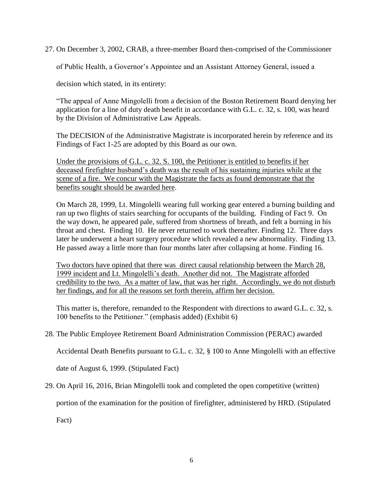27. On December 3, 2002, CRAB, a three-member Board then-comprised of the Commissioner

of Public Health, a Governor's Appointee and an Assistant Attorney General, issued a

decision which stated, in its entirety:

"The appeal of Anne Mingolelli from a decision of the Boston Retirement Board denying her application for a line of duty death benefit in accordance with G.L. c. 32, s. 100, was heard by the Division of Administrative Law Appeals.

The DECISION of the Administrative Magistrate is incorporated herein by reference and its Findings of Fact 1-25 are adopted by this Board as our own.

Under the provisions of G.L. c. 32. S. 100, the Petitioner is entitled to benefits if her deceased firefighter husband's death was the result of his sustaining injuries while at the scene of a fire. We concur with the Magistrate the facts as found demonstrate that the benefits sought should be awarded here.

On March 28, 1999, Lt. Mingolelli wearing full working gear entered a burning building and ran up two flights of stairs searching for occupants of the building. Finding of Fact 9. On the way down, he appeared pale, suffered from shortness of breath, and felt a burning in his throat and chest. Finding 10. He never returned to work thereafter. Finding 12. Three days later he underwent a heart surgery procedure which revealed a new abnormality. Finding 13. He passed away a little more than four months later after collapsing at home. Finding 16.

Two doctors have opined that there was direct causal relationship between the March 28, 1999 incident and Lt. Mingolelli's death. Another did not. The Magistrate afforded credibility to the two. As a matter of law, that was her right. Accordingly, we do not disturb her findings, and for all the reasons set forth therein, affirm her decision.

This matter is, therefore, remanded to the Respondent with directions to award G.L. c. 32, s. 100 benefits to the Petitioner." (emphasis added) (Exhibit 6)

### 28. The Public Employee Retirement Board Administration Commission (PERAC) awarded

Accidental Death Benefits pursuant to G.L. c. 32, § 100 to Anne Mingolelli with an effective

date of August 6, 1999. (Stipulated Fact)

29. On April 16, 2016, Brian Mingolelli took and completed the open competitive (written)

portion of the examination for the position of firefighter, administered by HRD. (Stipulated

Fact)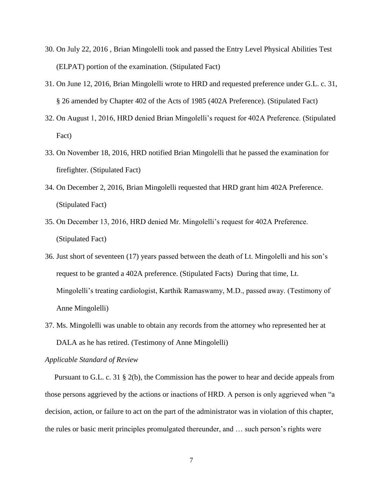- 30. On July 22, 2016 , Brian Mingolelli took and passed the Entry Level Physical Abilities Test (ELPAT) portion of the examination. (Stipulated Fact)
- 31. On June 12, 2016, Brian Mingolelli wrote to HRD and requested preference under G.L. c. 31, § 26 amended by Chapter 402 of the Acts of 1985 (402A Preference). (Stipulated Fact)
- 32. On August 1, 2016, HRD denied Brian Mingolelli's request for 402A Preference. (Stipulated Fact)
- 33. On November 18, 2016, HRD notified Brian Mingolelli that he passed the examination for firefighter. (Stipulated Fact)
- 34. On December 2, 2016, Brian Mingolelli requested that HRD grant him 402A Preference. (Stipulated Fact)
- 35. On December 13, 2016, HRD denied Mr. Mingolelli's request for 402A Preference. (Stipulated Fact)
- 36. Just short of seventeen (17) years passed between the death of Lt. Mingolelli and his son's request to be granted a 402A preference. (Stipulated Facts) During that time, Lt. Mingolelli's treating cardiologist, Karthik Ramaswamy, M.D., passed away. (Testimony of Anne Mingolelli)
- 37. Ms. Mingolelli was unable to obtain any records from the attorney who represented her at DALA as he has retired. (Testimony of Anne Mingolelli)

#### *Applicable Standard of Review*

 Pursuant to G.L. c. 31 § 2(b), the Commission has the power to hear and decide appeals from those persons aggrieved by the actions or inactions of HRD. A person is only aggrieved when "a decision, action, or failure to act on the part of the administrator was in violation of this chapter, the rules or basic merit principles promulgated thereunder, and … such person's rights were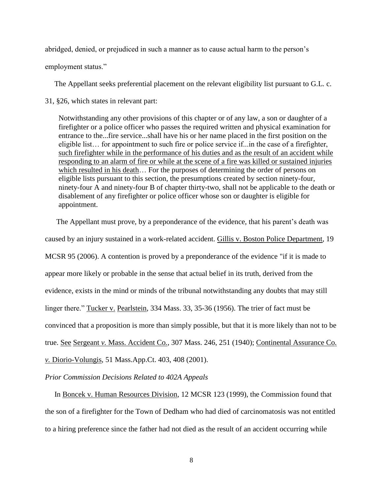abridged, denied, or prejudiced in such a manner as to cause actual harm to the person's

employment status."

The Appellant seeks preferential placement on the relevant eligibility list pursuant to G.L. c.

31, §26, which states in relevant part:

Notwithstanding any other provisions of this chapter or of any law, a son or daughter of a firefighter or a police officer who passes the required written and physical examination for entrance to the...fire service...shall have his or her name placed in the first position on the eligible list… for appointment to such fire or police service if...in the case of a firefighter, such firefighter while in the performance of his duties and as the result of an accident while responding to an alarm of fire or while at the scene of a fire was killed or sustained injuries which resulted in his death… For the purposes of determining the order of persons on eligible lists pursuant to this section, the presumptions created by section ninety-four, ninety-four A and ninety-four B of chapter thirty-two, shall not be applicable to the death or disablement of any firefighter or police officer whose son or daughter is eligible for appointment.

 The Appellant must prove, by a preponderance of the evidence, that his parent's death was caused by an injury sustained in a work-related accident. Gillis v. Boston Police Department, 19 MCSR 95 (2006). A contention is proved by a preponderance of the evidence "if it is made to appear more likely or probable in the sense that actual belief in its truth, derived from the evidence, exists in the mind or minds of the tribunal notwithstanding any doubts that may still linger there." Tucker v. Pearlstein, 334 Mass. 33, 35-36 (1956). The trier of fact must be convinced that a proposition is more than simply possible, but that it is more likely than not to be true. See Sergeant *v.* Mass. Accident Co*.*, 307 Mass. 246, 251 (1940); Continental Assurance Co*. v.* Diorio*-*Volungis, 51 Mass.App.Ct. 403, 408 (2001).

*Prior Commission Decisions Related to 402A Appeals*

 In Boncek v. Human Resources Division, 12 MCSR 123 (1999), the Commission found that the son of a firefighter for the Town of Dedham who had died of carcinomatosis was not entitled to a hiring preference since the father had not died as the result of an accident occurring while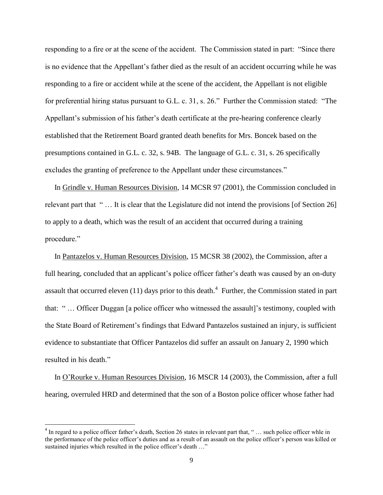responding to a fire or at the scene of the accident. The Commission stated in part: "Since there is no evidence that the Appellant's father died as the result of an accident occurring while he was responding to a fire or accident while at the scene of the accident, the Appellant is not eligible for preferential hiring status pursuant to G.L. c. 31, s. 26." Further the Commission stated: "The Appellant's submission of his father's death certificate at the pre-hearing conference clearly established that the Retirement Board granted death benefits for Mrs. Boncek based on the presumptions contained in G.L. c. 32, s. 94B. The language of G.L. c. 31, s. 26 specifically excludes the granting of preference to the Appellant under these circumstances."

 In Grindle v. Human Resources Division, 14 MCSR 97 (2001), the Commission concluded in relevant part that " … It is clear that the Legislature did not intend the provisions [of Section 26] to apply to a death, which was the result of an accident that occurred during a training procedure."

 In Pantazelos v. Human Resources Division, 15 MCSR 38 (2002), the Commission, after a full hearing, concluded that an applicant's police officer father's death was caused by an on-duty assault that occurred eleven  $(11)$  days prior to this death.<sup>4</sup> Further, the Commission stated in part that: " … Officer Duggan [a police officer who witnessed the assault]'s testimony, coupled with the State Board of Retirement's findings that Edward Pantazelos sustained an injury, is sufficient evidence to substantiate that Officer Pantazelos did suffer an assault on January 2, 1990 which resulted in his death."

 In O'Rourke v. Human Resources Division, 16 MSCR 14 (2003), the Commission, after a full hearing, overruled HRD and determined that the son of a Boston police officer whose father had

 $\overline{\phantom{a}}$ 

 $4$  In regard to a police officer father's death, Section 26 states in relevant part that, " $\ldots$  such police officer whle in the performance of the police officer's duties and as a result of an assault on the police officer's person was killed or sustained injuries which resulted in the police officer's death ..."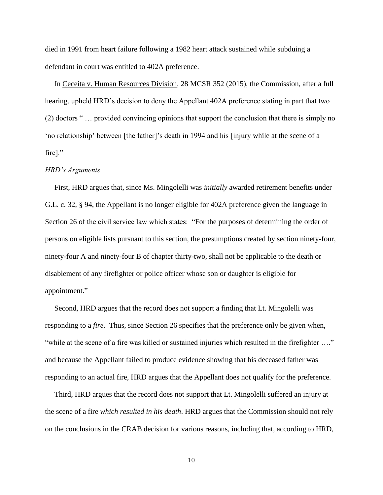died in 1991 from heart failure following a 1982 heart attack sustained while subduing a defendant in court was entitled to 402A preference.

 In Ceceita v. Human Resources Division, 28 MCSR 352 (2015), the Commission, after a full hearing, upheld HRD's decision to deny the Appellant 402A preference stating in part that two (2) doctors " … provided convincing opinions that support the conclusion that there is simply no 'no relationship' between [the father]'s death in 1994 and his [injury while at the scene of a fire]."

#### *HRD's Arguments*

 First, HRD argues that, since Ms. Mingolelli was *initially* awarded retirement benefits under G.L. c. 32, § 94, the Appellant is no longer eligible for 402A preference given the language in Section 26 of the civil service law which states: "For the purposes of determining the order of persons on eligible lists pursuant to this section, the presumptions created by section ninety-four, ninety-four A and ninety-four B of chapter thirty-two, shall not be applicable to the death or disablement of any firefighter or police officer whose son or daughter is eligible for appointment."

 Second, HRD argues that the record does not support a finding that Lt. Mingolelli was responding to a *fire.* Thus, since Section 26 specifies that the preference only be given when, "while at the scene of a fire was killed or sustained injuries which resulted in the firefighter …." and because the Appellant failed to produce evidence showing that his deceased father was responding to an actual fire, HRD argues that the Appellant does not qualify for the preference.

 Third, HRD argues that the record does not support that Lt. Mingolelli suffered an injury at the scene of a fire *which resulted in his death*. HRD argues that the Commission should not rely on the conclusions in the CRAB decision for various reasons, including that, according to HRD,

10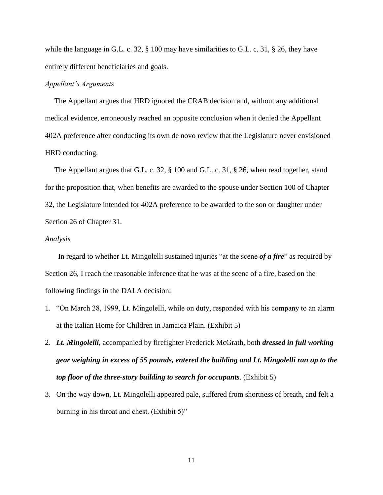while the language in G.L. c. 32, § 100 may have similarities to G.L. c. 31, § 26, they have entirely different beneficiaries and goals.

### *Appellant's Arguments*

 The Appellant argues that HRD ignored the CRAB decision and, without any additional medical evidence, erroneously reached an opposite conclusion when it denied the Appellant 402A preference after conducting its own de novo review that the Legislature never envisioned HRD conducting.

 The Appellant argues that G.L. c. 32, § 100 and G.L. c. 31, § 26, when read together, stand for the proposition that, when benefits are awarded to the spouse under Section 100 of Chapter 32, the Legislature intended for 402A preference to be awarded to the son or daughter under Section 26 of Chapter 31.

#### *Analysis*

 In regard to whether Lt. Mingolelli sustained injuries "at the scene *of a fire*" as required by Section 26, I reach the reasonable inference that he was at the scene of a fire, based on the following findings in the DALA decision:

- 1. "On March 28, 1999, Lt. Mingolelli, while on duty, responded with his company to an alarm at the Italian Home for Children in Jamaica Plain. (Exhibit 5)
- 2. *Lt. Mingolelli*, accompanied by firefighter Frederick McGrath, both *dressed in full working gear weighing in excess of 55 pounds, entered the building and Lt. Mingolelli ran up to the top floor of the three-story building to search for occupants*. (Exhibit 5)
- 3. On the way down, Lt. Mingolelli appeared pale, suffered from shortness of breath, and felt a burning in his throat and chest. (Exhibit 5)"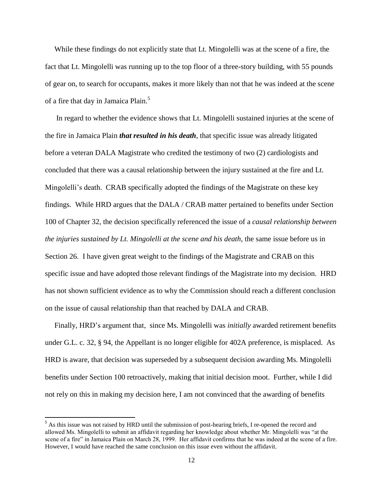While these findings do not explicitly state that Lt. Mingolelli was at the scene of a fire, the fact that Lt. Mingolelli was running up to the top floor of a three-story building, with 55 pounds of gear on, to search for occupants, makes it more likely than not that he was indeed at the scene of a fire that day in Jamaica Plain.<sup>5</sup>

 In regard to whether the evidence shows that Lt. Mingolelli sustained injuries at the scene of the fire in Jamaica Plain *that resulted in his death*, that specific issue was already litigated before a veteran DALA Magistrate who credited the testimony of two (2) cardiologists and concluded that there was a causal relationship between the injury sustained at the fire and Lt. Mingolelli's death. CRAB specifically adopted the findings of the Magistrate on these key findings. While HRD argues that the DALA / CRAB matter pertained to benefits under Section 100 of Chapter 32, the decision specifically referenced the issue of a *causal relationship between the injuries sustained by Lt. Mingolelli at the scene and his death*, the same issue before us in Section 26. I have given great weight to the findings of the Magistrate and CRAB on this specific issue and have adopted those relevant findings of the Magistrate into my decision. HRD has not shown sufficient evidence as to why the Commission should reach a different conclusion on the issue of causal relationship than that reached by DALA and CRAB.

 Finally, HRD's argument that, since Ms. Mingolelli was *initially* awarded retirement benefits under G.L. c. 32, § 94, the Appellant is no longer eligible for 402A preference, is misplaced. As HRD is aware, that decision was superseded by a subsequent decision awarding Ms. Mingolelli benefits under Section 100 retroactively, making that initial decision moot. Further, while I did not rely on this in making my decision here, I am not convinced that the awarding of benefits

 $\overline{\phantom{a}}$ 

<sup>&</sup>lt;sup>5</sup> As this issue was not raised by HRD until the submission of post-hearing briefs, I re-opened the record and allowed Ms. Mingolelli to submit an affidavit regarding her knowledge about whether Mr. Mingolelli was "at the scene of a fire" in Jamaica Plain on March 28, 1999. Her affidavit confirms that he was indeed at the scene of a fire. However, I would have reached the same conclusion on this issue even without the affidavit.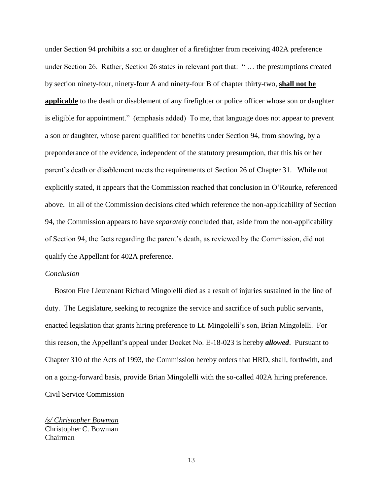under Section 94 prohibits a son or daughter of a firefighter from receiving 402A preference under Section 26. Rather, Section 26 states in relevant part that: " … the presumptions created by section ninety-four, ninety-four A and ninety-four B of chapter thirty-two, **shall not be applicable** to the death or disablement of any firefighter or police officer whose son or daughter is eligible for appointment." (emphasis added) To me, that language does not appear to prevent a son or daughter, whose parent qualified for benefits under Section 94, from showing, by a preponderance of the evidence, independent of the statutory presumption, that this his or her parent's death or disablement meets the requirements of Section 26 of Chapter 31. While not explicitly stated, it appears that the Commission reached that conclusion in O'Rourke, referenced above. In all of the Commission decisions cited which reference the non-applicability of Section 94, the Commission appears to have *separately* concluded that, aside from the non-applicability of Section 94, the facts regarding the parent's death, as reviewed by the Commission, did not qualify the Appellant for 402A preference.

#### *Conclusion*

 Boston Fire Lieutenant Richard Mingolelli died as a result of injuries sustained in the line of duty. The Legislature, seeking to recognize the service and sacrifice of such public servants, enacted legislation that grants hiring preference to Lt. Mingolelli's son, Brian Mingolelli. For this reason, the Appellant's appeal under Docket No. E-18-023 is hereby *allowed*. Pursuant to Chapter 310 of the Acts of 1993, the Commission hereby orders that HRD, shall, forthwith, and on a going-forward basis, provide Brian Mingolelli with the so-called 402A hiring preference. Civil Service Commission

*/s/ Christopher Bowman* Christopher C. Bowman Chairman